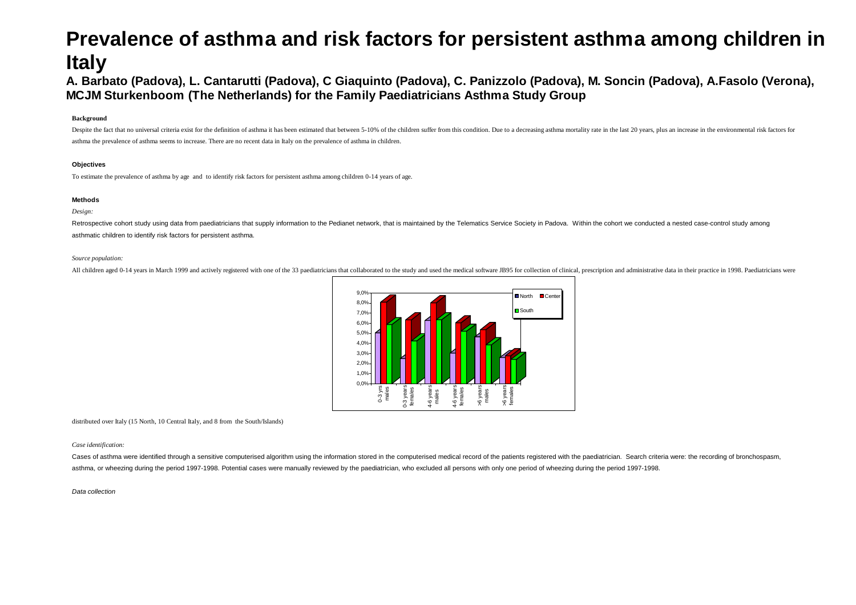# **Prevalence of asthma and risk factors for persistent asthma among children in Italy**

## **A. Barbato (Padova), L. Cantarutti (Padova), C Giaquinto (Padova), C. Panizzolo (Padova), M. Soncin (Padova), A.Fasolo (Verona), MCJM Sturkenboom (The Netherlands) for the Family Paediatricians Asthma Study Group**

#### **Background**

Despite the fact that no universal criteria exist for the definition of asthma it has been estimated that between 5-10% of the children suffer from this condition. Due to a decreasing asthma mortality rate in the last 20 y asthma the prevalence of asthma seems to increase. There are no recent data in Italy on the prevalence of asthma in children.

#### **Objectives**

To estimate the prevalence of asthma by age and to identify risk factors for persistent asthma among children 0-14 years of age.

#### **Methods**

#### *Design:*

Retrospective cohort study using data from paediatricians that supply information to the Pedianet network, that is maintained by the Telematics Service Society in Padova. Within the cohort we conducted a nested case-contro asthmatic children to identify risk factors for persistent asthma.

#### *Source population:*

All children aged 0-14 years in March 1999 and actively registered with one of the 33 paediatricians that collaborated to the study and used the medical software JB95 for collection of clinical, prescription and administra



distributed over Italy (15 North, 10 Central Italy, and 8 from the South/Islands)

#### *Case identification:*

Cases of asthma were identified through a sensitive computerised algorithm using the information stored in the computerised medical record of the patients registered with the paediatrician. Search criteria were: the record asthma, or wheezing during the period 1997-1998. Potential cases were manually reviewed by the paediatrician, who excluded all persons with only one period of wheezing during the period 1997-1998.

#### *Data collection*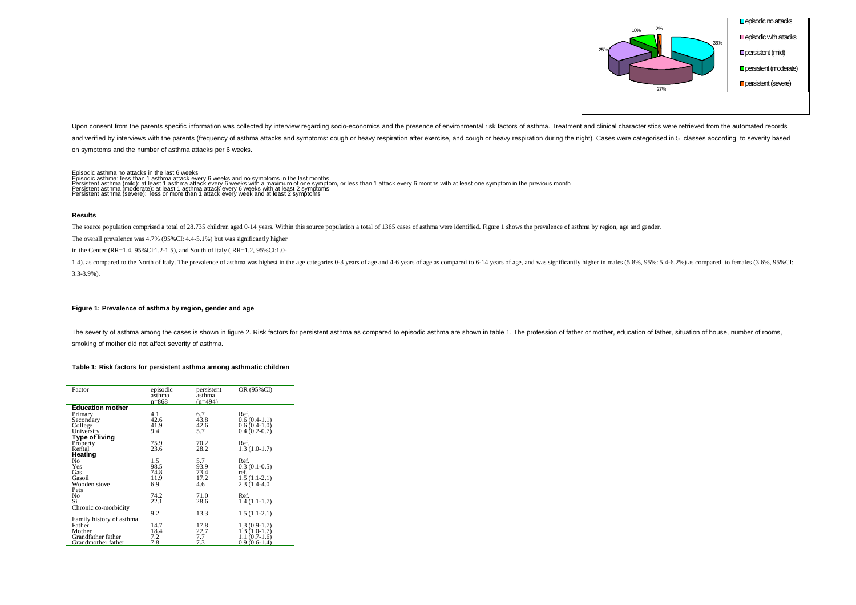

Upon consent from the parents specific information was collected by interview regarding socio-economics and the presence of environmental risk factors of asthma. Treatment and clinical characteristics were retrieved from t and verified by interviews with the parents (frequency of asthma attacks and symptoms: cough or heavy respiration after exercise, and cough or heavy respiration during the night). Cases were categorised in 5 classes accord on symptoms and the number of asthma attacks per 6 weeks.

Episodic asthma no attacks in the last 6 weeks

Episodic asthma: less than 1 asthma attack every 6 weeks and no symptoms in the last months<br>Persistent asthma (mild): at least 1 asthma attack every 6 weeks with a maximum of one symptom, or less than 1 attack every 6 mont

Persistent asthma (moderate): at least 1 asthma attack every 6 weeks with at least 2 symptoms Persistent asthma (severe): less or more than 1 attack every week and at least 2 symptoms

#### **Results**

The source population comprised a total of 28.735 children aged 0-14 years. Within this source population a total of 1365 cases of asthma were identified. Figure 1 shows the prevalence of asthma by region, age and gender.

The overall prevalence was 4.7% (95%CI: 4.4-5.1%) but was significantly higher

in the Center (RR=1.4, 95%CI:1.2-1.5), and South of Italy ( RR=1.2, 95%CI:1.0-

1.4). as compared to the North of Italy. The prevalence of asthma was highest in the age categories 0-3 years of age and 4-6 years of age as compared to 6-14 years of age, and was significantly higher in males (5.8%, 95%: 3.3-3.9%).

#### **Figure 1: Prevalence of asthma by region, gender and age**

The severity of asthma among the cases is shown in figure 2. Risk factors for persistent asthma as compared to episodic asthma are shown in table 1. The profession of father or mother, education of father, situation of hou smoking of mother did not affect severity of asthma.

#### **Table 1: Risk factors for persistent asthma among asthmatic children**

| Factor                   | episodic<br>asthma<br>$n = 868$ | persistent<br>asthma<br>$(n=494)$ | OR (95%CI)     |
|--------------------------|---------------------------------|-----------------------------------|----------------|
| <b>Education mother</b>  |                                 |                                   |                |
| Primary                  | 4.1                             | 6.7                               | Ref.           |
| Secondary                | 42.6                            | 43.8                              | $0.6(0.4-1.1)$ |
| College                  | 41.9                            | 42.6                              | $0.6(0.4-1.0)$ |
| University               | 9.4                             | 5.7                               | $0.4(0.2-0.7)$ |
| Type of living           |                                 |                                   |                |
| Property                 | 75.9                            | 70.2                              | Ref.           |
| Rental                   | 23.6                            | 28.2                              | $1.3(1.0-1.7)$ |
| Heating                  |                                 |                                   |                |
| No                       | 1.5                             | 5.7                               | Ref.           |
| Yes                      | 98.5                            | 93.9                              | $0.3(0.1-0.5)$ |
| Gas                      | 74.8                            | 73.4                              | ref.           |
| Gasoil                   | 11.9                            | 17.2                              | $1.5(1.1-2.1)$ |
| Wooden stove             | 6.9                             | 4.6                               | $2.3(1.4-4.0)$ |
| Pets                     |                                 |                                   |                |
| No                       | 74.2                            | 71.0                              | Ref.           |
| Si                       | 22.1                            | 28.6                              | $1.4(1.1-1.7)$ |
| Chronic co-morbidity     |                                 |                                   |                |
|                          | 9.2                             | 13.3                              | $1.5(1.1-2.1)$ |
| Family history of asthma |                                 |                                   |                |
| Father                   | 14.7                            | 17.8                              | $1,3(0.9-1.7)$ |
| Mother                   | 18.4                            | 22.7                              | $1.3(1.0-1.7)$ |
| Grandfather father       | 7.2                             | 7.7                               | $1.1(0.7-1.6)$ |
| Grandmother father       | 7.8                             | 7.3                               | $0.9(0.6-1.4)$ |